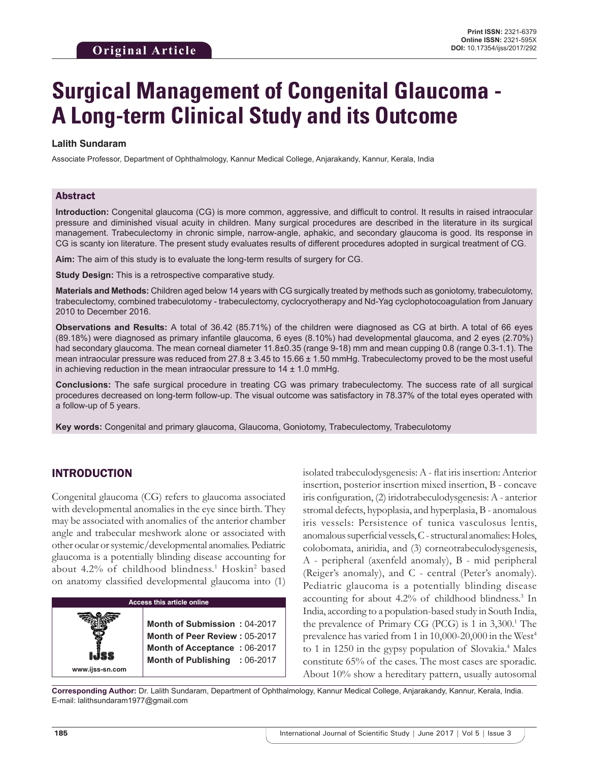# **Surgical Management of Congenital Glaucoma - A Long-term Clinical Study and its Outcome**

## **Lalith Sundaram**

Associate Professor, Department of Ophthalmology, Kannur Medical College, Anjarakandy, Kannur, Kerala, India

## Abstract

**Introduction:** Congenital glaucoma (CG) is more common, aggressive, and difficult to control. It results in raised intraocular pressure and diminished visual acuity in children. Many surgical procedures are described in the literature in its surgical management. Trabeculectomy in chronic simple, narrow-angle, aphakic, and secondary glaucoma is good. Its response in CG is scanty ion literature. The present study evaluates results of different procedures adopted in surgical treatment of CG.

**Aim:** The aim of this study is to evaluate the long-term results of surgery for CG.

**Study Design:** This is a retrospective comparative study.

**Materials and Methods:** Children aged below 14 years with CG surgically treated by methods such as goniotomy, trabeculotomy, trabeculectomy, combined trabeculotomy - trabeculectomy, cyclocryotherapy and Nd-Yag cyclophotocoagulation from January 2010 to December 2016.

**Observations and Results:** A total of 36.42 (85.71%) of the children were diagnosed as CG at birth. A total of 66 eyes (89.18%) were diagnosed as primary infantile glaucoma, 6 eyes (8.10%) had developmental glaucoma, and 2 eyes (2.70%) had secondary glaucoma. The mean corneal diameter 11.8±0.35 (range 9-18) mm and mean cupping 0.8 (range 0.3-1.1). The mean intraocular pressure was reduced from  $27.8 \pm 3.45$  to  $15.66 \pm 1.50$  mmHg. Trabeculectomy proved to be the most useful in achieving reduction in the mean intraocular pressure to  $14 \pm 1.0$  mmHg.

**Conclusions:** The safe surgical procedure in treating CG was primary trabeculectomy. The success rate of all surgical procedures decreased on long-term follow-up. The visual outcome was satisfactory in 78.37% of the total eyes operated with a follow-up of 5 years.

**Key words:** Congenital and primary glaucoma, Glaucoma, Goniotomy, Trabeculectomy, Trabeculotomy

# INTRODUCTION

Congenital glaucoma (CG) refers to glaucoma associated with developmental anomalies in the eye since birth. They may be associated with anomalies of the anterior chamber angle and trabecular meshwork alone or associated with other ocular or systemic/developmental anomalies. Pediatric glaucoma is a potentially blinding disease accounting for about 4.2% of childhood blindness.<sup>1</sup> Hoskin<sup>2</sup> based on anatomy classified developmental glaucoma into (1)

| <b>Access this article online</b> |                                                                                                                                |  |  |  |  |
|-----------------------------------|--------------------------------------------------------------------------------------------------------------------------------|--|--|--|--|
| www.ijss-sn.com                   | Month of Submission: 04-2017<br>Month of Peer Review: 05-2017<br>Month of Acceptance: 06-2017<br>Month of Publishing : 06-2017 |  |  |  |  |

isolated trabeculodysgenesis: A - flat iris insertion: Anterior insertion, posterior insertion mixed insertion, B - concave iris configuration, (2) iridotrabeculodysgenesis: A - anterior stromal defects, hypoplasia, and hyperplasia, B - anomalous iris vessels: Persistence of tunica vasculosus lentis, anomalous superficial vessels, C-structural anomalies: Holes, colobomata, aniridia, and (3) corneotrabeculodysgenesis, A - peripheral (axenfeld anomaly), B - mid peripheral (Reiger's anomaly), and C - central (Peter's anomaly). Pediatric glaucoma is a potentially blinding disease accounting for about 4.2% of childhood blindness.3 In India, according to a population-based study in South India, the prevalence of Primary CG (PCG) is 1 in 3,300.<sup>1</sup> The prevalence has varied from 1 in  $10,000$ -20,000 in the West<sup>4</sup> to 1 in 1250 in the gypsy population of Slovakia.<sup>4</sup> Males constitute 65% of the cases. The most cases are sporadic. About 10% show a hereditary pattern, usually autosomal

**Corresponding Author:** Dr. Lalith Sundaram, Department of Ophthalmology, Kannur Medical College, Anjarakandy, Kannur, Kerala, India. E-mail: lalithsundaram1977@gmail.com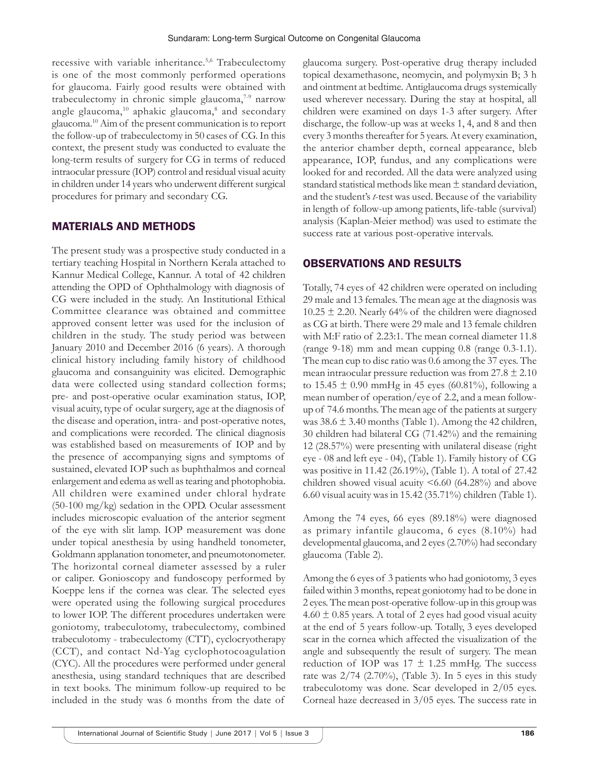recessive with variable inheritance.<sup>5,6</sup> Trabeculectomy is one of the most commonly performed operations for glaucoma. Fairly good results were obtained with trabeculectomy in chronic simple glaucoma, $7-9$  narrow angle glaucoma,<sup>10</sup> aphakic glaucoma,<sup>8</sup> and secondary glaucoma.10 Aim of the present communication is to report the follow-up of trabeculectomy in 50 cases of CG. In this context, the present study was conducted to evaluate the long-term results of surgery for CG in terms of reduced intraocular pressure (IOP) control and residual visual acuity in children under 14 years who underwent different surgical procedures for primary and secondary CG.

## MATERIALS AND METHODS

The present study was a prospective study conducted in a tertiary teaching Hospital in Northern Kerala attached to Kannur Medical College, Kannur. A total of 42 children attending the OPD of Ophthalmology with diagnosis of CG were included in the study. An Institutional Ethical Committee clearance was obtained and committee approved consent letter was used for the inclusion of children in the study. The study period was between January 2010 and December 2016 (6 years). A thorough clinical history including family history of childhood glaucoma and consanguinity was elicited. Demographic data were collected using standard collection forms; pre- and post-operative ocular examination status, IOP, visual acuity, type of ocular surgery, age at the diagnosis of the disease and operation, intra- and post-operative notes, and complications were recorded. The clinical diagnosis was established based on measurements of IOP and by the presence of accompanying signs and symptoms of sustained, elevated IOP such as buphthalmos and corneal enlargement and edema as well as tearing and photophobia. All children were examined under chloral hydrate (50-100 mg/kg) sedation in the OPD. Ocular assessment includes microscopic evaluation of the anterior segment of the eye with slit lamp. IOP measurement was done under topical anesthesia by using handheld tonometer, Goldmann applanation tonometer, and pneumotonometer. The horizontal corneal diameter assessed by a ruler or caliper. Gonioscopy and fundoscopy performed by Koeppe lens if the cornea was clear. The selected eyes were operated using the following surgical procedures to lower IOP. The different procedures undertaken were goniotomy, trabeculotomy, trabeculectomy, combined trabeculotomy - trabeculectomy (CTT), cyclocryotherapy (CCT), and contact Nd-Yag cyclophotocoagulation (CYC). All the procedures were performed under general anesthesia, using standard techniques that are described in text books. The minimum follow-up required to be included in the study was 6 months from the date of

glaucoma surgery. Post-operative drug therapy included topical dexamethasone, neomycin, and polymyxin B; 3 h and ointment at bedtime. Antiglaucoma drugs systemically used wherever necessary. During the stay at hospital, all children were examined on days 1-3 after surgery. After discharge, the follow-up was at weeks 1, 4, and 8 and then every 3 months thereafter for 5 years. At every examination, the anterior chamber depth, corneal appearance, bleb appearance, IOP, fundus, and any complications were looked for and recorded. All the data were analyzed using standard statistical methods like mean ± standard deviation, and the student's *t*-test was used. Because of the variability in length of follow-up among patients, life-table (survival) analysis (Kaplan-Meier method) was used to estimate the success rate at various post-operative intervals.

## OBSERVATIONS AND RESULTS

Totally, 74 eyes of 42 children were operated on including 29 male and 13 females. The mean age at the diagnosis was  $10.25 \pm 2.20$ . Nearly 64% of the children were diagnosed as CG at birth. There were 29 male and 13 female children with M:F ratio of 2.23:1. The mean corneal diameter 11.8 (range 9-18) mm and mean cupping 0.8 (range 0.3-1.1). The mean cup to disc ratio was 0.6 among the 37 eyes. The mean intraocular pressure reduction was from  $27.8 \pm 2.10$ to 15.45  $\pm$  0.90 mmHg in 45 eyes (60.81%), following a mean number of operation/eye of 2.2, and a mean followup of 74.6 months. The mean age of the patients at surgery was  $38.6 \pm 3.40$  months (Table 1). Among the 42 children, 30 children had bilateral CG (71.42%) and the remaining 12 (28.57%) were presenting with unilateral disease (right eye - 08 and left eye - 04), (Table 1). Family history of CG was positive in 11.42 (26.19%), (Table 1). A total of 27.42 children showed visual acuity  $\leq 6.60$  (64.28%) and above 6.60 visual acuity was in 15.42 (35.71%) children (Table 1).

Among the 74 eyes, 66 eyes (89.18%) were diagnosed as primary infantile glaucoma, 6 eyes (8.10%) had developmental glaucoma, and 2 eyes (2.70%) had secondary glaucoma (Table 2).

Among the 6 eyes of 3 patients who had goniotomy, 3 eyes failed within 3 months, repeat goniotomy had to be done in 2 eyes. The mean post-operative follow-up in this group was  $4.60 \pm 0.85$  years. A total of 2 eyes had good visual acuity at the end of 5 years follow-up. Totally, 3 eyes developed scar in the cornea which affected the visualization of the angle and subsequently the result of surgery. The mean reduction of IOP was  $17 \pm 1.25$  mmHg. The success rate was  $2/74$  (2.70%), (Table 3). In 5 eyes in this study trabeculotomy was done. Scar developed in 2/05 eyes. Corneal haze decreased in 3/05 eyes. The success rate in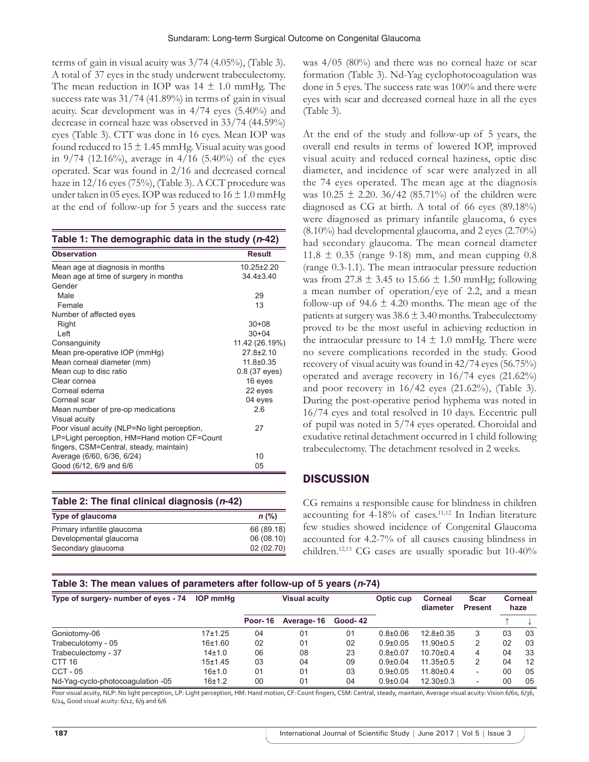terms of gain in visual acuity was 3/74 (4.05%), (Table 3). A total of 37 eyes in the study underwent trabeculectomy. The mean reduction in IOP was  $14 \pm 1.0$  mmHg. The success rate was 31/74 (41.89%) in terms of gain in visual acuity. Scar development was in 4/74 eyes (5.40%) and decrease in corneal haze was observed in 33/74 (44.59%) eyes (Table 3). CTT was done in 16 eyes. Mean IOP was found reduced to  $15 \pm 1.45$  mmHg. Visual acuity was good in  $9/74$  (12.16%), average in  $4/16$  (5.40%) of the eyes operated. Scar was found in 2/16 and decreased corneal haze in 12/16 eyes (75%), (Table 3). A CCT procedure was under taken in 05 eyes. IOP was reduced to  $16 \pm 1.0$  mmHg at the end of follow-up for 5 years and the success rate

| <b>Observation</b>                           | Result          |  |  |
|----------------------------------------------|-----------------|--|--|
| Mean age at diagnosis in months              | $10.25 + 2.20$  |  |  |
| Mean age at time of surgery in months        | $34.4 \pm 3.40$ |  |  |
| Gender                                       |                 |  |  |
| Male                                         | 29              |  |  |
| Female                                       | 13              |  |  |
| Number of affected eyes                      |                 |  |  |
| Right                                        | $30 + 08$       |  |  |
| Left                                         | $30 + 04$       |  |  |
| Consanguinity                                | 11.42 (26.19%)  |  |  |
| Mean pre-operative IOP (mmHg)                | $27.8 \pm 2.10$ |  |  |
| Mean corneal diameter (mm)                   | $11.8 \pm 0.35$ |  |  |
| Mean cup to disc ratio                       | 0.8 (37 eyes)   |  |  |
| Clear cornea                                 | 16 eyes         |  |  |
| Corneal edema                                | 22 eyes         |  |  |
| Corneal scar                                 | 04 eyes         |  |  |
| Mean number of pre-op medications            | 26              |  |  |
| Visual acuity                                |                 |  |  |
| Poor visual acuity (NLP=No light perception, | 27              |  |  |
| LP=Light perception, HM=Hand motion CF=Count |                 |  |  |
| fingers, CSM=Central, steady, maintain)      |                 |  |  |
| Average (6/60, 6/36, 6/24)                   | 10              |  |  |
| Good (6/12, 6/9 and 6/6                      | 05              |  |  |

| Table 2: The final clinical diagnosis (n-42) |            |
|----------------------------------------------|------------|
| Type of glaucoma                             | $n$ (%)    |
| Primary infantile glaucoma                   | 66 (89.18) |
| Developmental glaucoma                       | 06 (08.10) |
| Secondary glaucoma                           | 02 (02.70) |

was 4/05 (80%) and there was no corneal haze or scar formation (Table 3). Nd-Yag cyclophotocoagulation was done in 5 eyes. The success rate was 100% and there were eyes with scar and decreased corneal haze in all the eyes (Table 3).

At the end of the study and follow-up of 5 years, the overall end results in terms of lowered IOP, improved visual acuity and reduced corneal haziness, optic disc diameter, and incidence of scar were analyzed in all the 74 eyes operated. The mean age at the diagnosis was  $10.25 \pm 2.20$ .  $36/42$  (85.71%) of the children were diagnosed as CG at birth. A total of 66 eyes (89.18%) were diagnosed as primary infantile glaucoma, 6 eyes (8.10%) had developmental glaucoma, and 2 eyes (2.70%) had secondary glaucoma. The mean corneal diameter  $11.8 \pm 0.35$  (range 9-18) mm, and mean cupping 0.8 (range 0.3-1.1). The mean intraocular pressure reduction was from 27.8  $\pm$  3.45 to 15.66  $\pm$  1.50 mmHg; following a mean number of operation/eye of 2.2, and a mean follow-up of  $94.6 \pm 4.20$  months. The mean age of the patients at surgery was  $38.6 \pm 3.40$  months. Trabeculectomy proved to be the most useful in achieving reduction in the intraocular pressure to  $14 \pm 1.0$  mmHg. There were no severe complications recorded in the study. Good recovery of visual acuity was found in 42/74 eyes (56.75%) operated and average recovery in 16/74 eyes (21.62%) and poor recovery in 16/42 eyes (21.62%), (Table 3). During the post-operative period hyphema was noted in 16/74 eyes and total resolved in 10 days. Eccentric pull of pupil was noted in 5/74 eyes operated. Choroidal and exudative retinal detachment occurred in 1 child following trabeculectomy. The detachment resolved in 2 weeks.

# **DISCUSSION**

CG remains a responsible cause for blindness in children accounting for  $4-18%$  of cases.<sup>11,12</sup> In Indian literature few studies showed incidence of Congenital Glaucoma accounted for 4.2-7% of all causes causing blindness in children.12,13 CG cases are usually sporadic but 10-40%

## **Table 3: The mean values of parameters after follow‑up of 5 years (***n***‑74)**

| Type of surgery- number of eyes - 74 | <b>IOP</b> mmHa |                | <b>Visual acuity</b> |                | Optic cup      | <b>Corneal</b><br>diameter | <b>Scar</b><br><b>Present</b> | <b>Corneal</b><br>haze |    |
|--------------------------------------|-----------------|----------------|----------------------|----------------|----------------|----------------------------|-------------------------------|------------------------|----|
|                                      |                 | <b>Poor-16</b> | Average-16           | <b>Good-42</b> |                |                            |                               |                        |    |
| Goniotomy-06                         | 17±1.25         | 04             | 01                   | 01             | $0.8 + 0.06$   | $12.8 \pm 0.35$            | 3                             | 03                     | 03 |
| Trabeculotomy - 05                   | 16±1.60         | 02             | 01                   | 02             | $0.9 + 0.05$   | $11.90 \pm 0.5$            | 2                             | 02                     | 03 |
| Trabeculectomy - 37                  | 14±1.0          | 06             | 08                   | 23             | $0.8 + 0.07$   | $10.70{\pm}0.4$            | 4                             | 04                     | 33 |
| CTT <sub>16</sub>                    | 15±1.45         | 03             | 04                   | 09             | $0.9{\pm}0.04$ | $11.35 \pm 0.5$            | 2                             | 04                     | 12 |
| $CCT - 05$                           | 16±1.0          | 01             | 01                   | 03             | $0.9 + 0.05$   | $11.80 \pm 0.4$            | $\overline{\phantom{0}}$      | 00                     | 05 |
| Nd-Yaq-cyclo-photocoaquiation -05    | 16±1.2          | 00             | 01                   | 04             | $0.9 \pm 0.04$ | $12.30 \pm 0.3$            | $\overline{\phantom{0}}$      | 00                     | 05 |

Poor visual acuity, NLP: No light perception, LP: Light perception, HM: Hand motion, CF: Count fingers, CSM: Central, steady, maintain, Average visual acuity: Vision 6/60, 6/36, 6/24, Good visual acuity: 6/12, 6/9 and 6/6